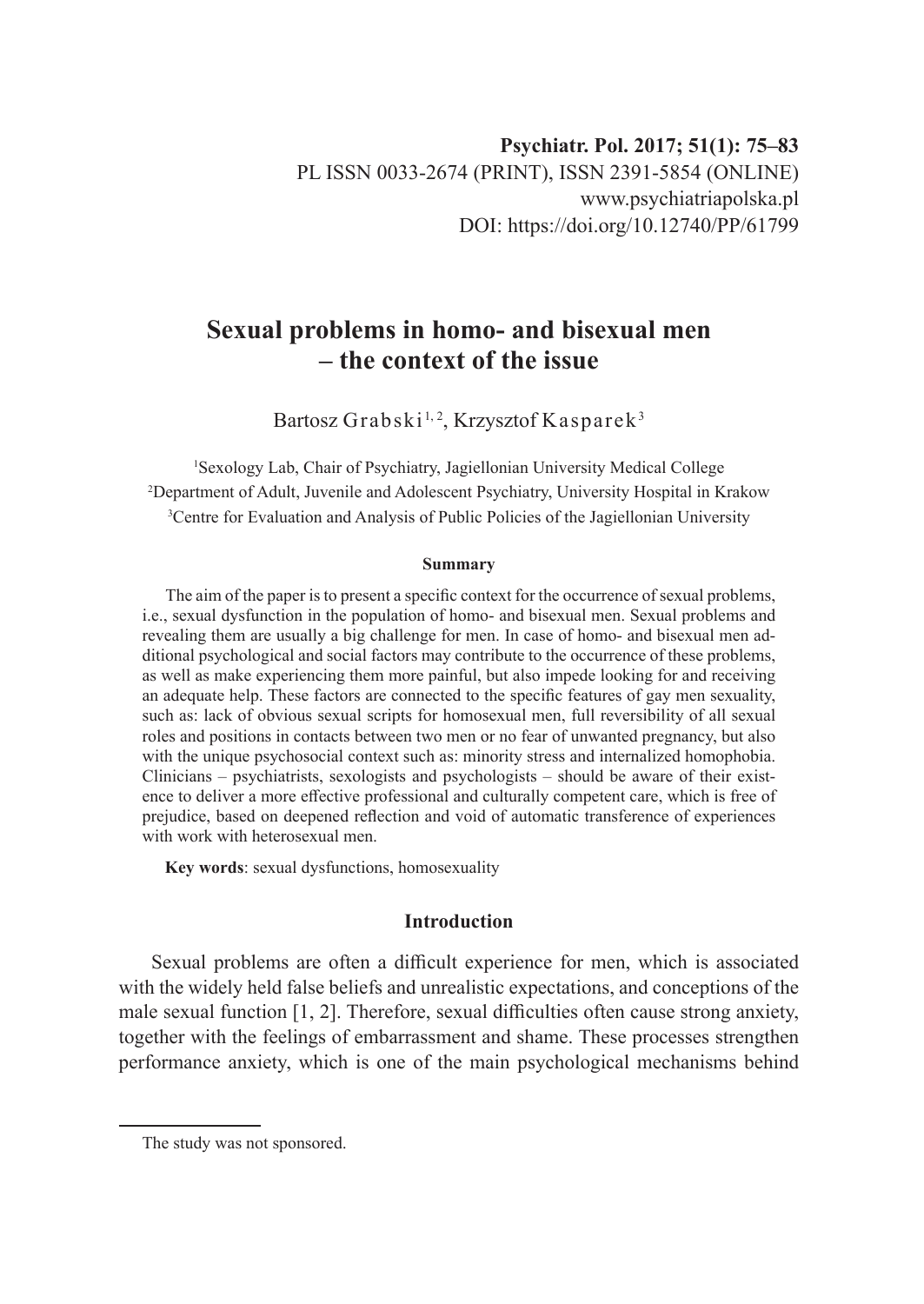# **Sexual problems in homo- and bisexual men – the context of the issue**

Bartosz Grabski<sup>1,2</sup>, Krzysztof Kasparek<sup>3</sup>

1 Sexology Lab, Chair of Psychiatry, Jagiellonian University Medical College 2 Department of Adult, Juvenile and Adolescent Psychiatry, University Hospital in Krakow 3 Centre for Evaluation and Analysis of Public Policies of the Jagiellonian University

#### **Summary**

The aim of the paper is to present a specific context for the occurrence of sexual problems, i.e., sexual dysfunction in the population of homo- and bisexual men. Sexual problems and revealing them are usually a big challenge for men. In case of homo- and bisexual men additional psychological and social factors may contribute to the occurrence of these problems, as well as make experiencing them more painful, but also impede looking for and receiving an adequate help. These factors are connected to the specific features of gay men sexuality, such as: lack of obvious sexual scripts for homosexual men, full reversibility of all sexual roles and positions in contacts between two men or no fear of unwanted pregnancy, but also with the unique psychosocial context such as: minority stress and internalized homophobia. Clinicians – psychiatrists, sexologists and psychologists – should be aware of their existence to deliver a more effective professional and culturally competent care, which is free of prejudice, based on deepened reflection and void of automatic transference of experiences with work with heterosexual men

**Key words**: sexual dysfunctions, homosexuality

# **Introduction**

Sexual problems are often a difficult experience for men, which is associated with the widely held false beliefs and unrealistic expectations, and conceptions of the male sexual function  $[1, 2]$ . Therefore, sexual difficulties often cause strong anxiety, together with the feelings of embarrassment and shame. These processes strengthen performance anxiety, which is one of the main psychological mechanisms behind

The study was not sponsored.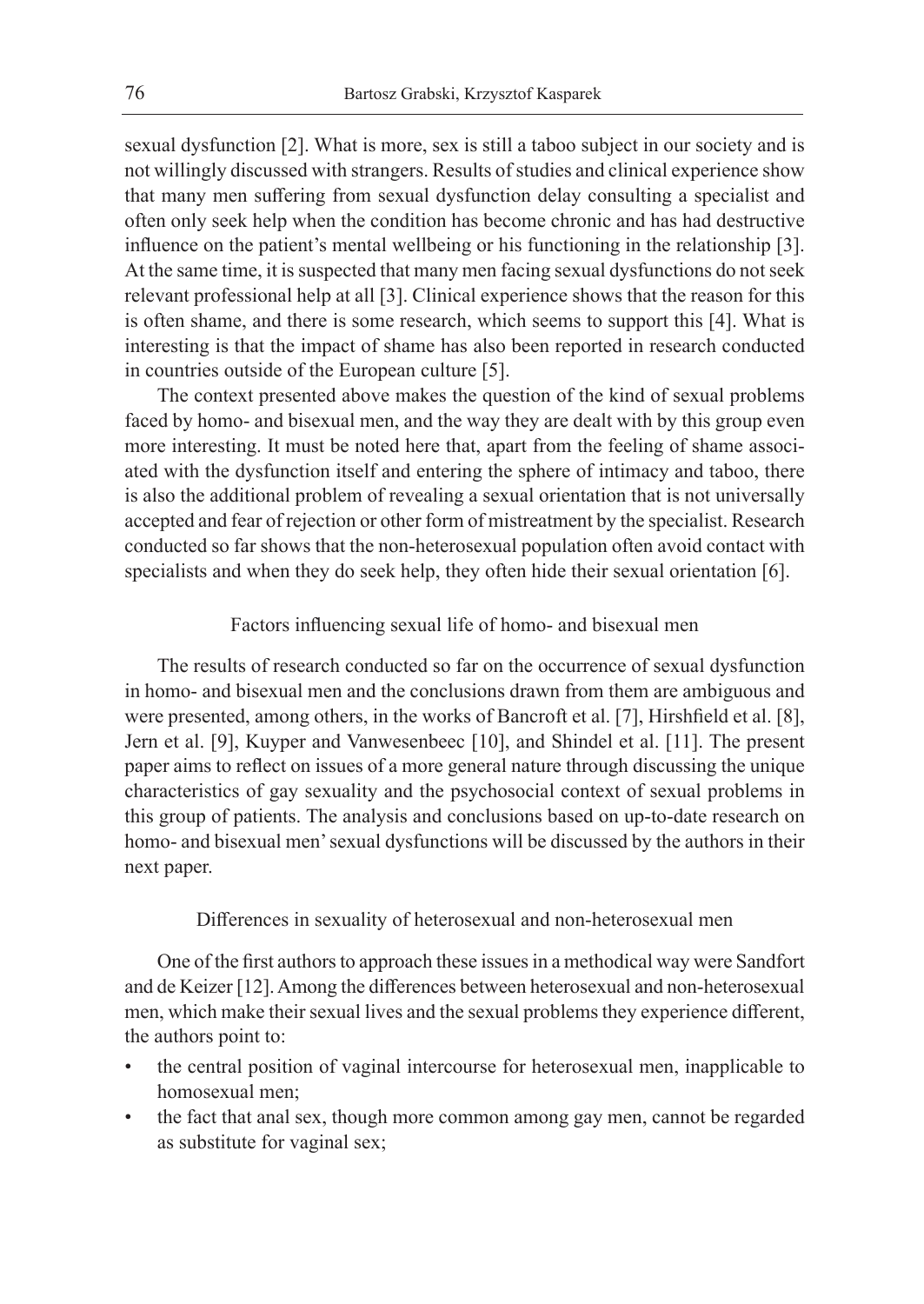sexual dysfunction [2]. What is more, sex is still a taboo subject in our society and is not willingly discussed with strangers. Results of studies and clinical experience show that many men suffering from sexual dysfunction delay consulting a specialist and often only seek help when the condition has become chronic and has had destructive influence on the patient's mental wellbeing or his functioning in the relationship [3]. At the same time, it is suspected that many men facing sexual dysfunctions do not seek relevant professional help at all [3]. Clinical experience shows that the reason for this is often shame, and there is some research, which seems to support this [4]. What is interesting is that the impact of shame has also been reported in research conducted in countries outside of the European culture [5].

The context presented above makes the question of the kind of sexual problems faced by homo- and bisexual men, and the way they are dealt with by this group even more interesting. It must be noted here that, apart from the feeling of shame associated with the dysfunction itself and entering the sphere of intimacy and taboo, there is also the additional problem of revealing a sexual orientation that is not universally accepted and fear of rejection or other form of mistreatment by the specialist. Research conducted so far shows that the non-heterosexual population often avoid contact with specialists and when they do seek help, they often hide their sexual orientation [6].

#### Factors influencing sexual life of homo- and bisexual men

The results of research conducted so far on the occurrence of sexual dysfunction in homo- and bisexual men and the conclusions drawn from them are ambiguous and were presented, among others, in the works of Bancroft et al. [7], Hirshfield et al. [8], Jern et al. [9], Kuyper and Vanwesenbeec [10], and Shindel et al. [11]. The present paper aims to reflect on issues of a more general nature through discussing the unique characteristics of gay sexuality and the psychosocial context of sexual problems in this group of patients. The analysis and conclusions based on up-to-date research on homo- and bisexual men' sexual dysfunctions will be discussed by the authors in their next paper.

# Differences in sexuality of heterosexual and non-heterosexual men

One of the first authors to approach these issues in a methodical way were Sandfort and de Keizer [12]. Among the differences between heterosexual and non-heterosexual men, which make their sexual lives and the sexual problems they experience different, the authors point to:

- the central position of vaginal intercourse for heterosexual men, inapplicable to homosexual men;
- the fact that anal sex, though more common among gay men, cannot be regarded as substitute for vaginal sex;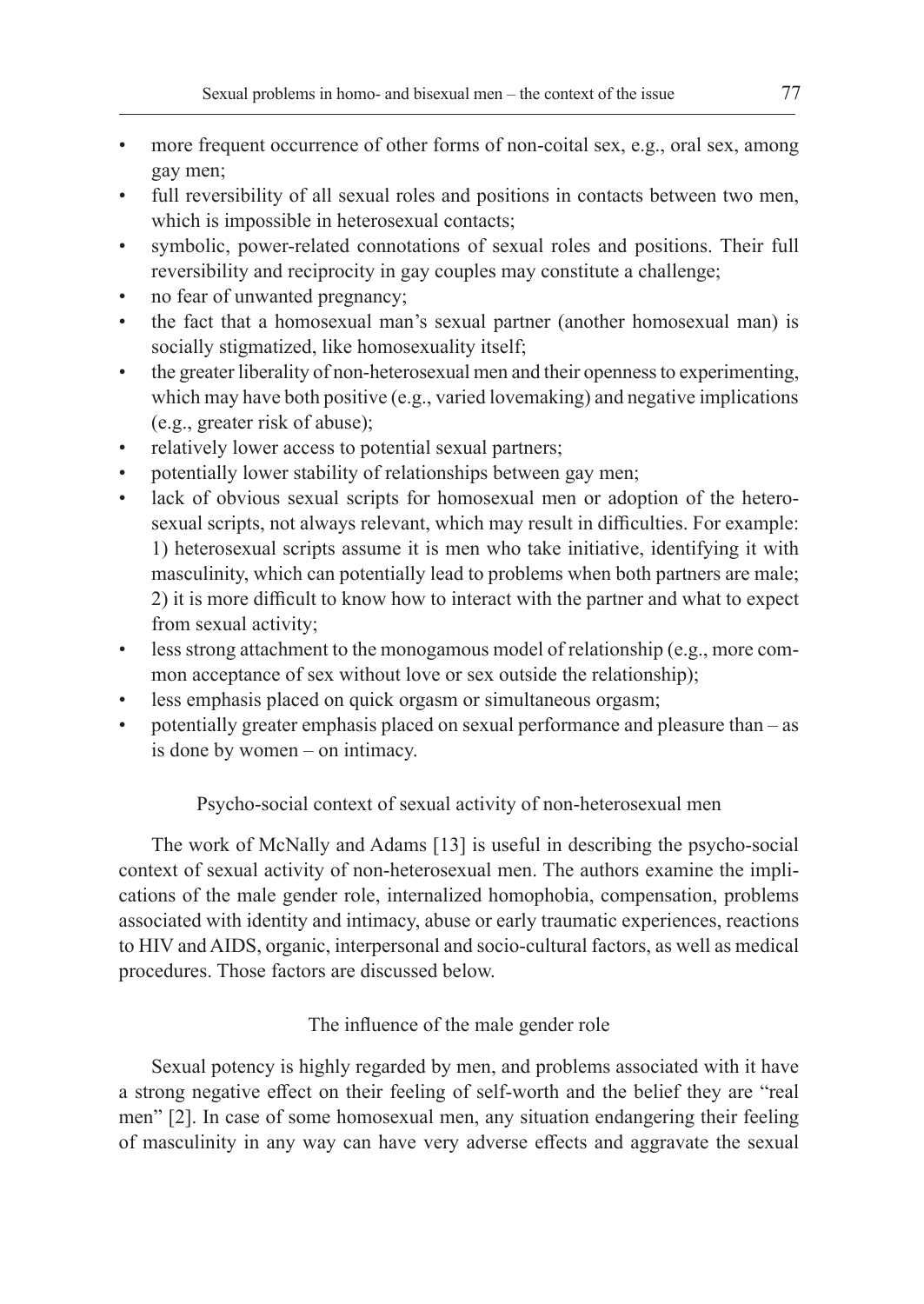- more frequent occurrence of other forms of non-coital sex, e.g., oral sex, among gay men;
- full reversibility of all sexual roles and positions in contacts between two men, which is impossible in heterosexual contacts;
- symbolic, power-related connotations of sexual roles and positions. Their full reversibility and reciprocity in gay couples may constitute a challenge;
- no fear of unwanted pregnancy;
- the fact that a homosexual man's sexual partner (another homosexual man) is socially stigmatized, like homosexuality itself;
- the greater liberality of non-heterosexual men and their openness to experimenting, which may have both positive (e.g., varied lovemaking) and negative implications (e.g., greater risk of abuse);
- relatively lower access to potential sexual partners;
- potentially lower stability of relationships between gay men;
- lack of obvious sexual scripts for homosexual men or adoption of the heterosexual scripts, not always relevant, which may result in difficulties. For example: 1) heterosexual scripts assume it is men who take initiative, identifying it with masculinity, which can potentially lead to problems when both partners are male; 2) it is more difficult to know how to interact with the partner and what to expect from sexual activity;
- less strong attachment to the monogamous model of relationship (e.g., more common acceptance of sex without love or sex outside the relationship);
- less emphasis placed on quick orgasm or simultaneous orgasm;
- potentially greater emphasis placed on sexual performance and pleasure than as is done by women – on intimacy.

# Psycho-social context of sexual activity of non-heterosexual men

The work of McNally and Adams [13] is useful in describing the psycho-social context of sexual activity of non-heterosexual men. The authors examine the implications of the male gender role, internalized homophobia, compensation, problems associated with identity and intimacy, abuse or early traumatic experiences, reactions to HIV and AIDS, organic, interpersonal and socio-cultural factors, as well as medical procedures. Those factors are discussed below.

# The influence of the male gender role

Sexual potency is highly regarded by men, and problems associated with it have a strong negative effect on their feeling of self-worth and the belief they are "real men" [2]. In case of some homosexual men, any situation endangering their feeling of masculinity in any way can have very adverse effects and aggravate the sexual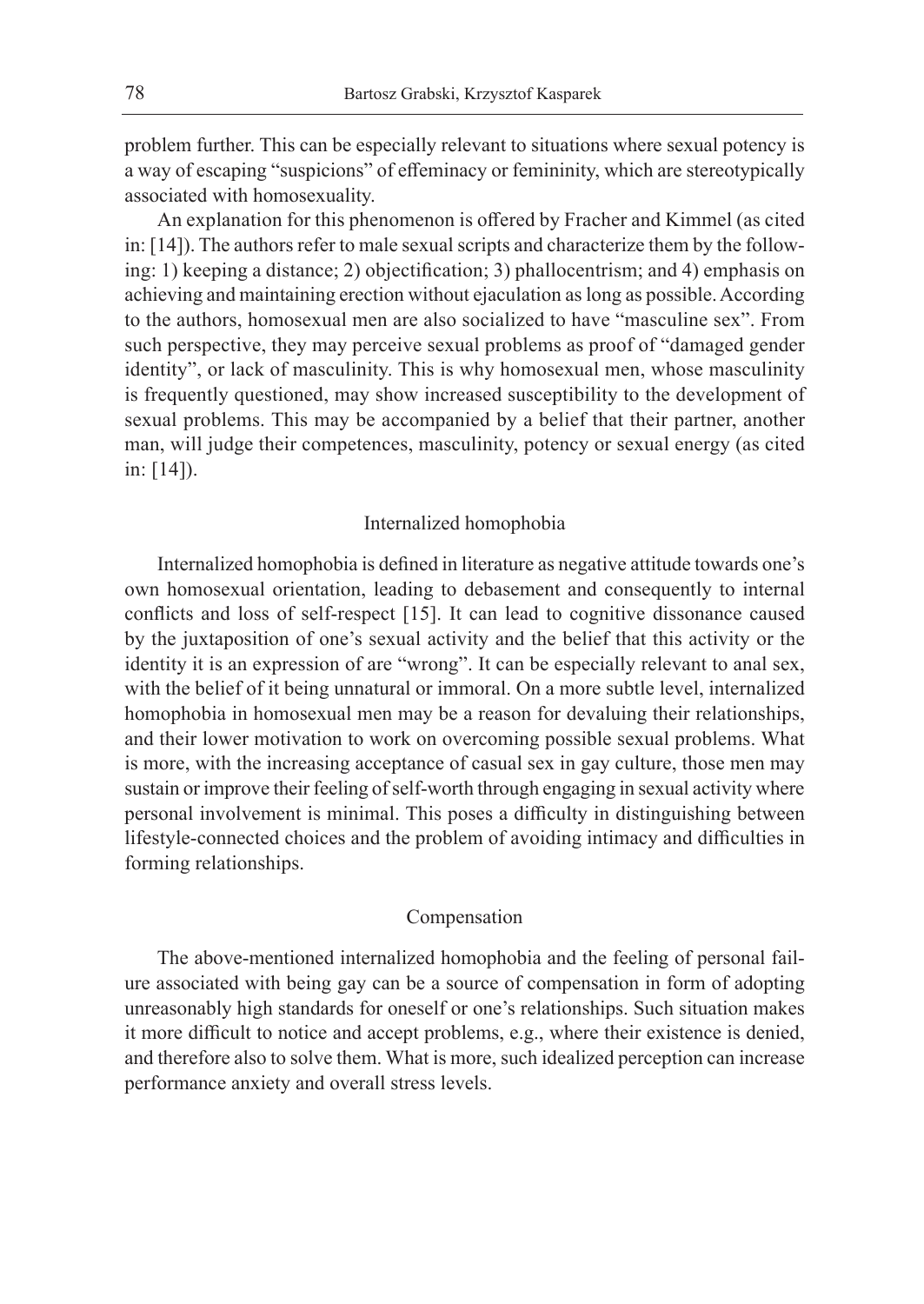problem further. This can be especially relevant to situations where sexual potency is a way of escaping "suspicions" of effeminacy or femininity, which are stereotypically associated with homosexuality.

An explanation for this phenomenon is offered by Fracher and Kimmel (as cited in: [14]). The authors refer to male sexual scripts and characterize them by the following: 1) keeping a distance; 2) objectification; 3) phallocentrism; and 4) emphasis on achieving and maintaining erection without ejaculation as long as possible. According to the authors, homosexual men are also socialized to have "masculine sex". From such perspective, they may perceive sexual problems as proof of "damaged gender identity", or lack of masculinity. This is why homosexual men, whose masculinity is frequently questioned, may show increased susceptibility to the development of sexual problems. This may be accompanied by a belief that their partner, another man, will judge their competences, masculinity, potency or sexual energy (as cited in: [14]).

#### Internalized homophobia

Internalized homophobia is defined in literature as negative attitude towards one's own homosexual orientation, leading to debasement and consequently to internal conflicts and loss of self-respect [15]. It can lead to cognitive dissonance caused by the juxtaposition of one's sexual activity and the belief that this activity or the identity it is an expression of are "wrong". It can be especially relevant to anal sex, with the belief of it being unnatural or immoral. On a more subtle level, internalized homophobia in homosexual men may be a reason for devaluing their relationships, and their lower motivation to work on overcoming possible sexual problems. What is more, with the increasing acceptance of casual sex in gay culture, those men may sustain or improve their feeling of self-worth through engaging in sexual activity where personal involvement is minimal. This poses a difficulty in distinguishing between lifestyle-connected choices and the problem of avoiding intimacy and difficulties in forming relationships.

#### Compensation

The above-mentioned internalized homophobia and the feeling of personal failure associated with being gay can be a source of compensation in form of adopting unreasonably high standards for oneself or one's relationships. Such situation makes it more difficult to notice and accept problems, e.g., where their existence is denied, and therefore also to solve them. What is more, such idealized perception can increase performance anxiety and overall stress levels.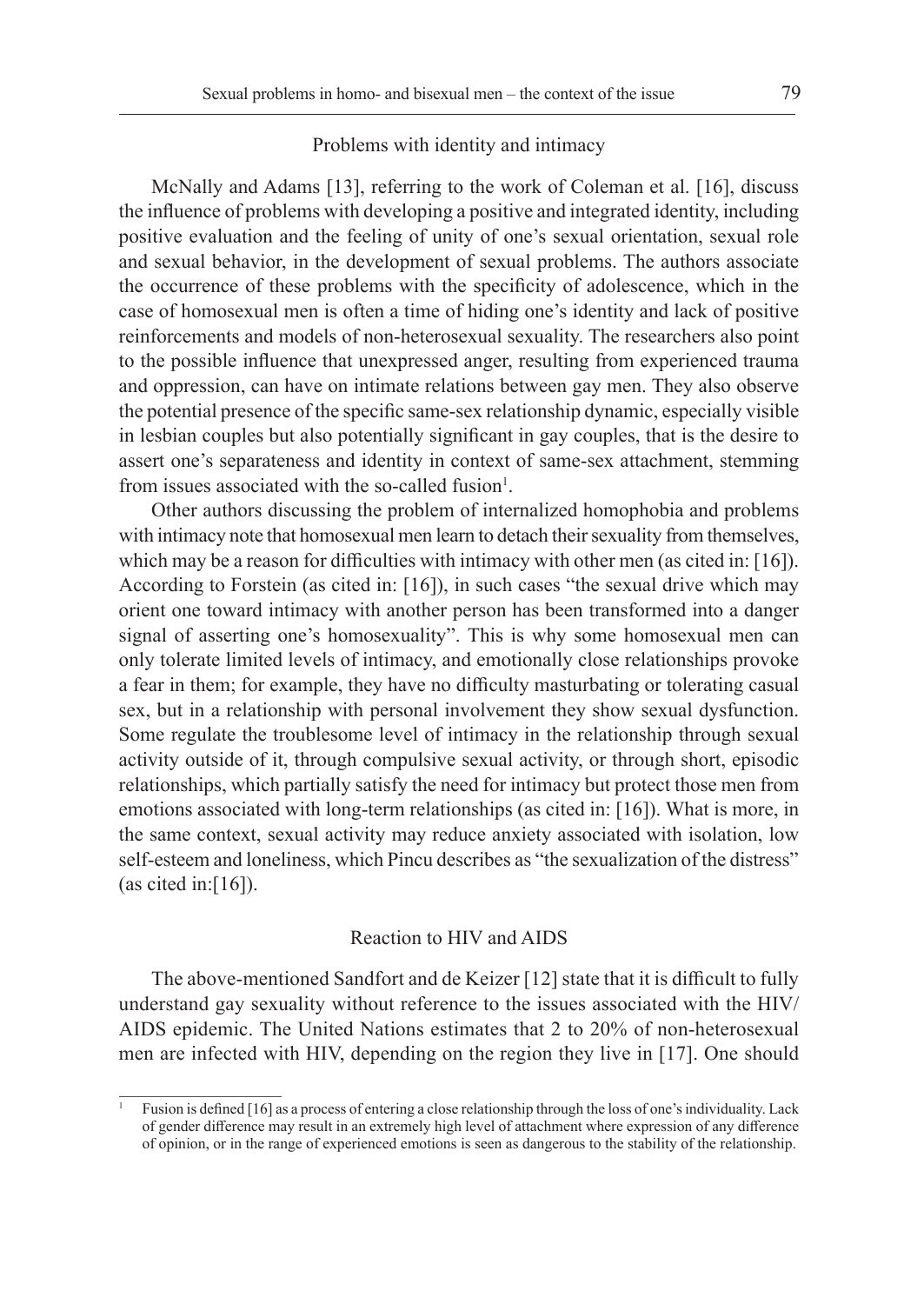#### Problems with identity and intimacy

McNally and Adams [13], referring to the work of Coleman et al. [16], discuss the influence of problems with developing a positive and integrated identity, including positive evaluation and the feeling of unity of one's sexual orientation, sexual role and sexual behavior, in the development of sexual problems. The authors associate the occurrence of these problems with the specificity of adolescence, which in the case of homosexual men is often a time of hiding one's identity and lack of positive reinforcements and models of non-heterosexual sexuality. The researchers also point to the possible influence that unexpressed anger, resulting from experienced trauma and oppression, can have on intimate relations between gay men. They also observe the potential presence of the specific same-sex relationship dynamic, especially visible in lesbian couples but also potentially significant in gay couples, that is the desire to assert one's separateness and identity in context of same-sex attachment, stemming from issues associated with the so-called fusion<sup>1</sup>.

Other authors discussing the problem of internalized homophobia and problems with intimacy note that homosexual men learn to detach their sexuality from themselves, which may be a reason for difficulties with intimacy with other men (as cited in: [16]). According to Forstein (as cited in: [16]), in such cases "the sexual drive which may orient one toward intimacy with another person has been transformed into a danger signal of asserting one's homosexuality". This is why some homosexual men can only tolerate limited levels of intimacy, and emotionally close relationships provoke a fear in them; for example, they have no difficulty masturbating or tolerating casual sex, but in a relationship with personal involvement they show sexual dysfunction. Some regulate the troublesome level of intimacy in the relationship through sexual activity outside of it, through compulsive sexual activity, or through short, episodic relationships, which partially satisfy the need for intimacy but protect those men from emotions associated with long-term relationships (as cited in: [16]). What is more, in the same context, sexual activity may reduce anxiety associated with isolation, low self-esteem and loneliness, which Pincu describes as "the sexualization of the distress" (as cited in:[16]).

#### Reaction to HIV and AIDS

The above-mentioned Sandfort and de Keizer [12] state that it is difficult to fully understand gay sexuality without reference to the issues associated with the HIV/ AIDS epidemic. The United Nations estimates that 2 to 20% of non-heterosexual men are infected with HIV, depending on the region they live in [17]. One should

<sup>1</sup> Fusion is defined [16] as a process of entering a close relationship through the loss of one's individuality. Lack of gender difference may result in an extremely high level of attachment where expression of any difference of opinion, or in the range of experienced emotions is seen as dangerous to the stability of the relationship.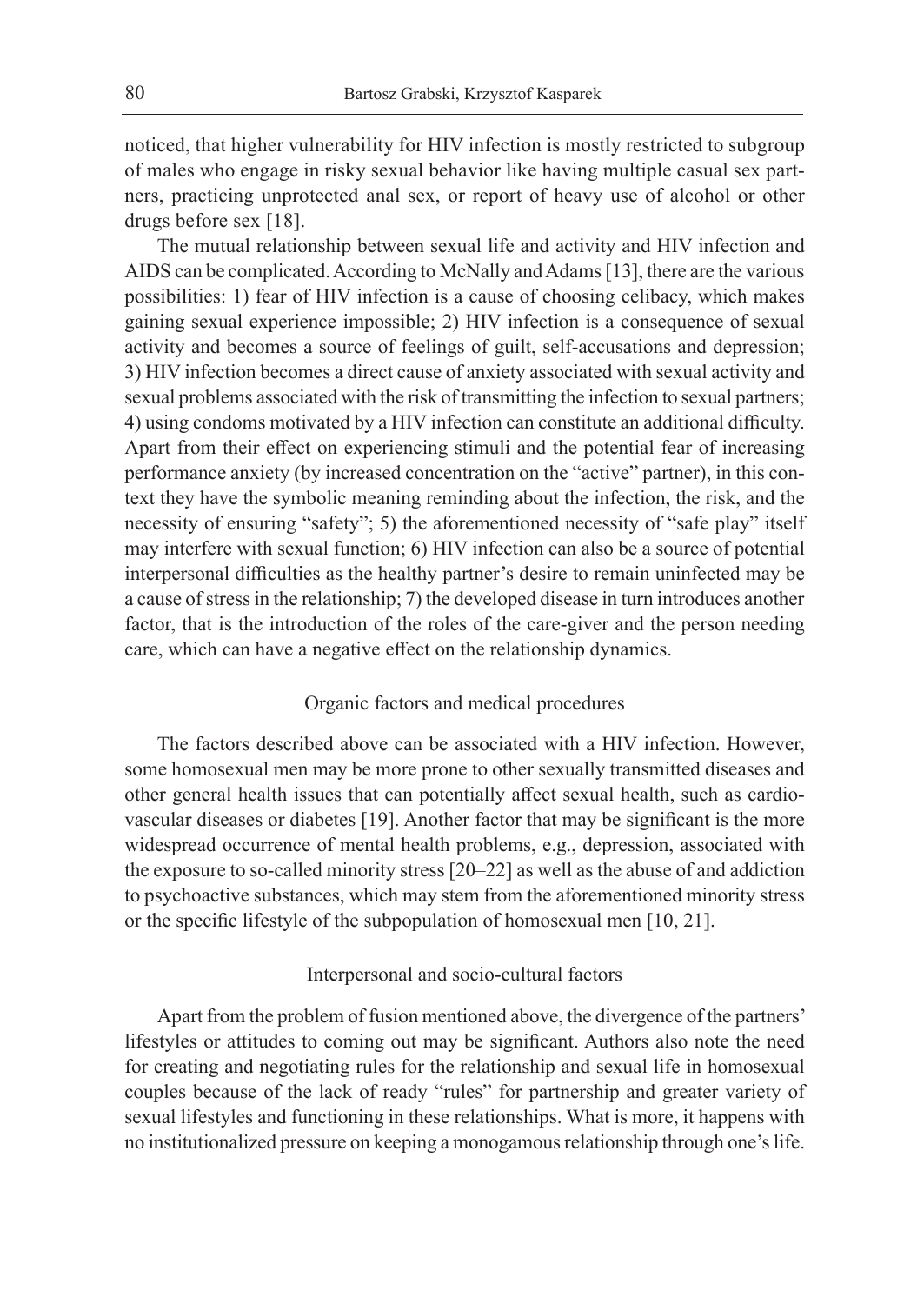noticed, that higher vulnerability for HIV infection is mostly restricted to subgroup of males who engage in risky sexual behavior like having multiple casual sex partners, practicing unprotected anal sex, or report of heavy use of alcohol or other drugs before sex [18].

The mutual relationship between sexual life and activity and HIV infection and AIDS can be complicated. According to McNally and Adams [13], there are the various possibilities: 1) fear of HIV infection is a cause of choosing celibacy, which makes gaining sexual experience impossible; 2) HIV infection is a consequence of sexual activity and becomes a source of feelings of guilt, self-accusations and depression; 3) HIV infection becomes a direct cause of anxiety associated with sexual activity and sexual problems associated with the risk of transmitting the infection to sexual partners; 4) using condoms motivated by a HIV infection can constitute an additional difficulty. Apart from their effect on experiencing stimuli and the potential fear of increasing performance anxiety (by increased concentration on the "active" partner), in this context they have the symbolic meaning reminding about the infection, the risk, and the necessity of ensuring "safety"; 5) the aforementioned necessity of "safe play" itself may interfere with sexual function; 6) HIV infection can also be a source of potential interpersonal difficulties as the healthy partner's desire to remain uninfected may be a cause of stress in the relationship; 7) the developed disease in turn introduces another factor, that is the introduction of the roles of the care-giver and the person needing care, which can have a negative effect on the relationship dynamics.

#### Organic factors and medical procedures

The factors described above can be associated with a HIV infection. However, some homosexual men may be more prone to other sexually transmitted diseases and other general health issues that can potentially affect sexual health, such as cardiovascular diseases or diabetes [19]. Another factor that may be significant is the more widespread occurrence of mental health problems, e.g., depression, associated with the exposure to so-called minority stress [20–22] as well as the abuse of and addiction to psychoactive substances, which may stem from the aforementioned minority stress or the specific lifestyle of the subpopulation of homosexual men [10, 21].

# Interpersonal and socio-cultural factors

Apart from the problem of fusion mentioned above, the divergence of the partners' lifestyles or attitudes to coming out may be significant. Authors also note the need for creating and negotiating rules for the relationship and sexual life in homosexual couples because of the lack of ready "rules" for partnership and greater variety of sexual lifestyles and functioning in these relationships. What is more, it happens with no institutionalized pressure on keeping a monogamous relationship through one's life.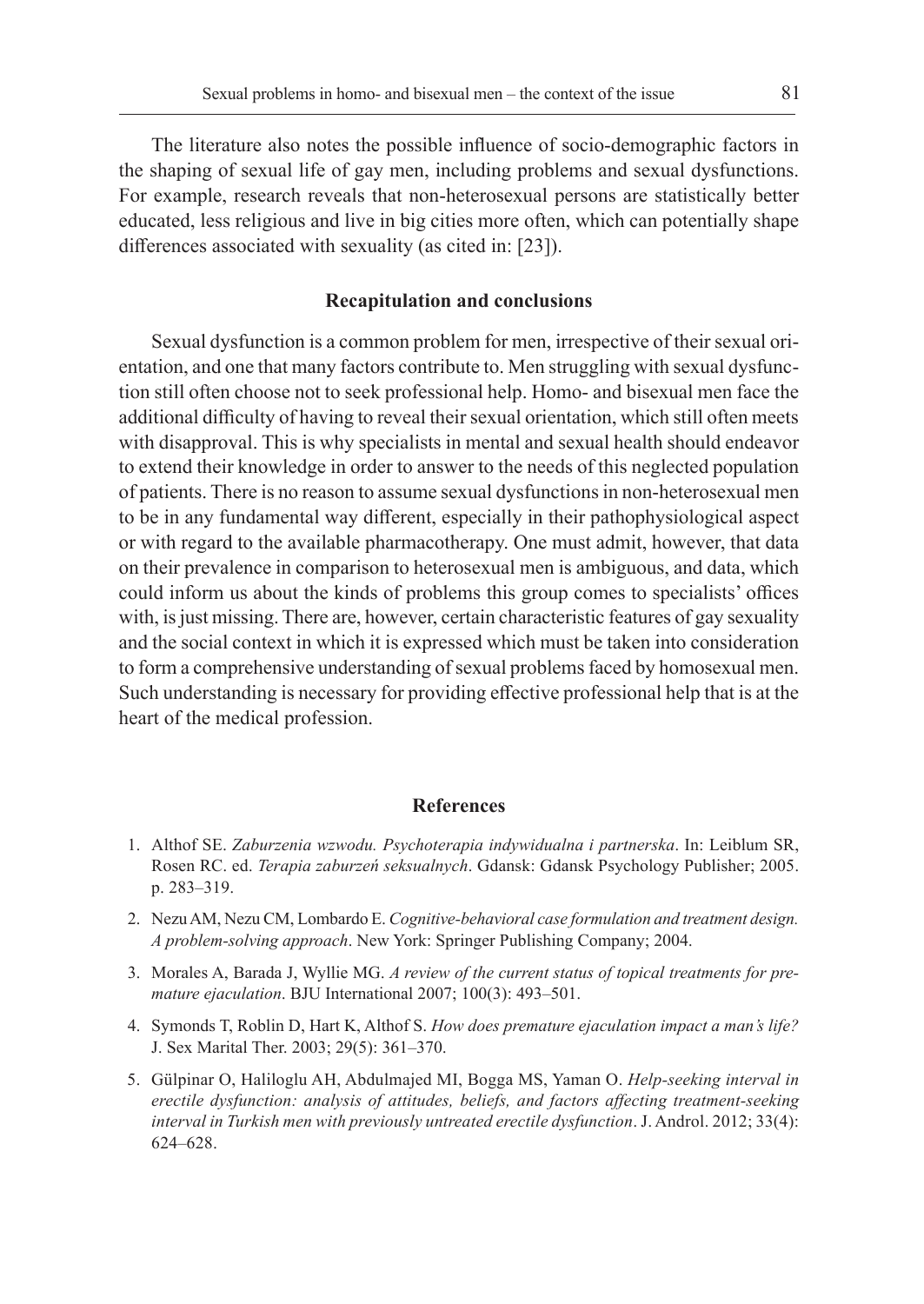The literature also notes the possible influence of socio-demographic factors in the shaping of sexual life of gay men, including problems and sexual dysfunctions. For example, research reveals that non-heterosexual persons are statistically better educated, less religious and live in big cities more often, which can potentially shape differences associated with sexuality (as cited in: [23]).

### **Recapitulation and conclusions**

Sexual dysfunction is a common problem for men, irrespective of their sexual orientation, and one that many factors contribute to. Men struggling with sexual dysfunction still often choose not to seek professional help. Homo- and bisexual men face the additional difficulty of having to reveal their sexual orientation, which still often meets with disapproval. This is why specialists in mental and sexual health should endeavor to extend their knowledge in order to answer to the needs of this neglected population of patients. There is no reason to assume sexual dysfunctions in non-heterosexual men to be in any fundamental way different, especially in their pathophysiological aspect or with regard to the available pharmacotherapy. One must admit, however, that data on their prevalence in comparison to heterosexual men is ambiguous, and data, which could inform us about the kinds of problems this group comes to specialists' offices with, is just missing. There are, however, certain characteristic features of gay sexuality and the social context in which it is expressed which must be taken into consideration to form a comprehensive understanding of sexual problems faced by homosexual men. Such understanding is necessary for providing effective professional help that is at the heart of the medical profession.

# **References**

- 1. Althof SE. *Zaburzenia wzwodu. Psychoterapia indywidualna i partnerska*. In: Leiblum SR, Rosen RC. ed. *Terapia zaburzeń seksualnych*. Gdansk: Gdansk Psychology Publisher; 2005. p. 283–319.
- 2. Nezu AM, Nezu CM, Lombardo E. *Cognitive-behavioral case formulation and treatment design. A problem-solving approach*. New York: Springer Publishing Company; 2004.
- 3. Morales A, Barada J, Wyllie MG. *A review of the current status of topical treatments for premature ejaculation*. BJU International 2007; 100(3): 493–501.
- 4. Symonds T, Roblin D, Hart K, Althof S. *How does premature ejaculation impact a man's life?*  J. Sex Marital Ther. 2003; 29(5): 361–370.
- 5. Gülpinar O, Haliloglu AH, Abdulmajed MI, Bogga MS, Yaman O. *Help-seeking interval in erectile dysfunction: analysis of attitudes, beliefs, and factors affecting treatment-seeking interval in Turkish men with previously untreated erectile dysfunction*. J. Androl. 2012; 33(4): 624–628.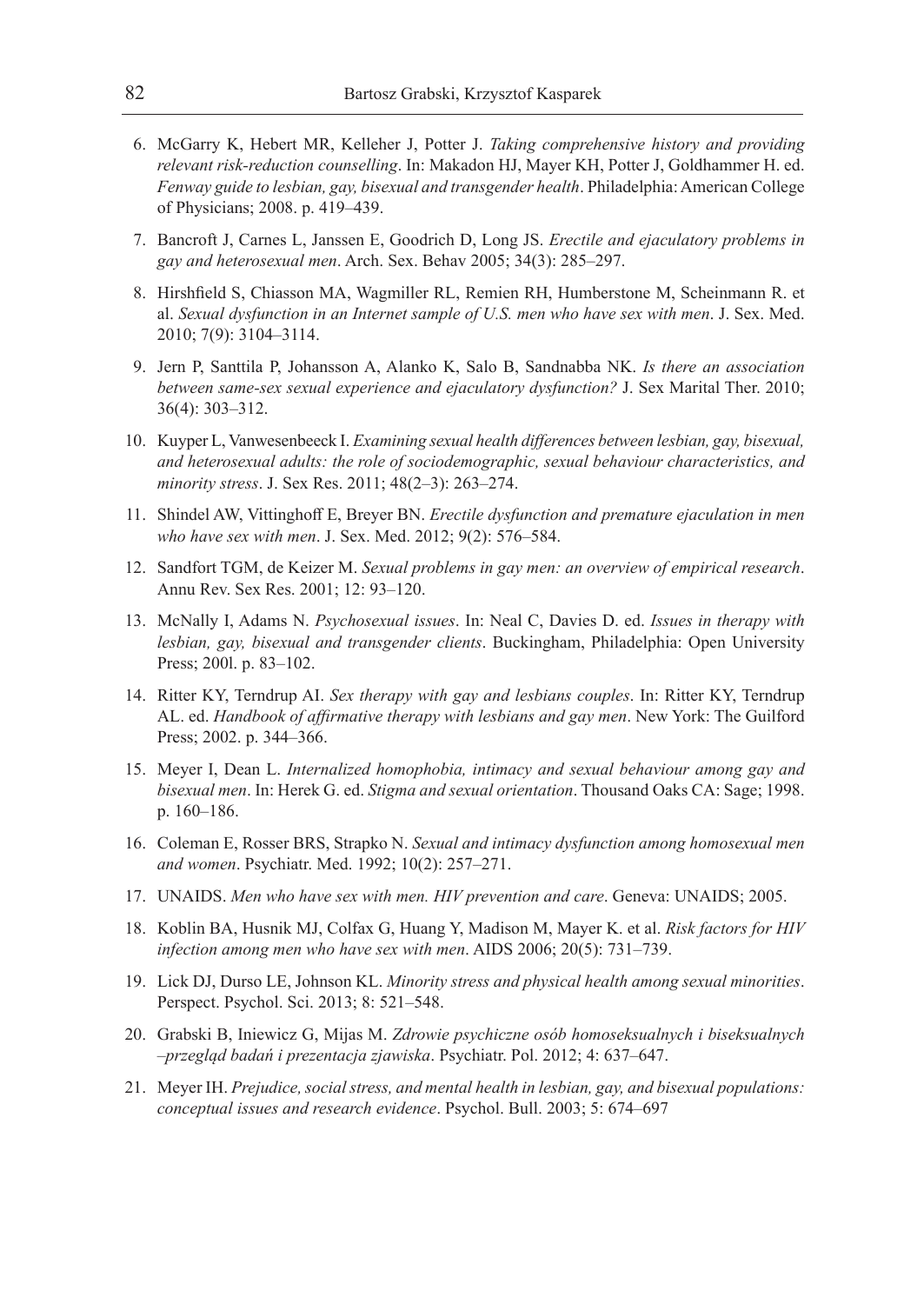- 6. McGarry K, Hebert MR, Kelleher J, Potter J. *Taking comprehensive history and providing relevant risk-reduction counselling*. In: Makadon HJ, Mayer KH, Potter J, Goldhammer H. ed. *Fenway guide to lesbian, gay, bisexual and transgender health*. Philadelphia: American College of Physicians; 2008. p. 419–439.
- 7. Bancroft J, Carnes L, Janssen E, Goodrich D, Long JS. *Erectile and ejaculatory problems in gay and heterosexual men*. Arch. Sex. Behav 2005; 34(3): 285–297.
- 8. Hirshfield S, Chiasson MA, Wagmiller RL, Remien RH, Humberstone M, Scheinmann R. et al. *Sexual dysfunction in an Internet sample of U.S. men who have sex with men*. J. Sex. Med. 2010; 7(9): 3104–3114.
- 9. Jern P, Santtila P, Johansson A, Alanko K, Salo B, Sandnabba NK. *Is there an association between same-sex sexual experience and ejaculatory dysfunction?* J. Sex Marital Ther. 2010; 36(4): 303–312.
- 10. Kuyper L, Vanwesenbeeck I. *Examining sexual health differences between lesbian, gay, bisexual, and heterosexual adults: the role of sociodemographic, sexual behaviour characteristics, and minority stress*. J. Sex Res. 2011; 48(2–3): 263–274.
- 11. Shindel AW, Vittinghoff E, Breyer BN. *Erectile dysfunction and premature ejaculation in men who have sex with men*. J. Sex. Med. 2012; 9(2): 576–584.
- 12. Sandfort TGM, de Keizer M. *Sexual problems in gay men: an overview of empirical research*. Annu Rev. Sex Res. 2001; 12: 93–120.
- 13. McNally I, Adams N. *Psychosexual issues*. In: Neal C, Davies D. ed. *Issues in therapy with lesbian, gay, bisexual and transgender clients*. Buckingham, Philadelphia: Open University Press; 200l. p. 83–102.
- 14. Ritter KY, Terndrup AI. *Sex therapy with gay and lesbians couples*. In: Ritter KY, Terndrup AL. ed. *Handbook of affirmative therapy with lesbians and gay men*. New York: The Guilford Press; 2002. p. 344–366.
- 15. Meyer I, Dean L. *Internalized homophobia, intimacy and sexual behaviour among gay and bisexual men*. In: Herek G. ed. *Stigma and sexual orientation*. Thousand Oaks CA: Sage; 1998. p. 160–186.
- 16. Coleman E, Rosser BRS, Strapko N. *Sexual and intimacy dysfunction among homosexual men and women*. Psychiatr. Med. 1992; 10(2): 257–271.
- 17. UNAIDS. *Men who have sex with men. HIV prevention and care*. Geneva: UNAIDS; 2005.
- 18. Koblin BA, Husnik MJ, Colfax G, Huang Y, Madison M, Mayer K. et al. *Risk factors for HIV infection among men who have sex with men*. AIDS 2006; 20(5): 731–739.
- 19. Lick DJ, Durso LE, Johnson KL. *Minority stress and physical health among sexual minorities*. Perspect. Psychol. Sci. 2013; 8: 521–548.
- 20. Grabski B, Iniewicz G, Mijas M. *Zdrowie psychiczne osób homoseksualnych i biseksualnych –przegląd badań i prezentacja zjawiska*. Psychiatr. Pol. 2012; 4: 637–647.
- 21. Meyer IH. *Prejudice, social stress, and mental health in lesbian, gay, and bisexual populations: conceptual issues and research evidence*. Psychol. Bull. 2003; 5: 674–697